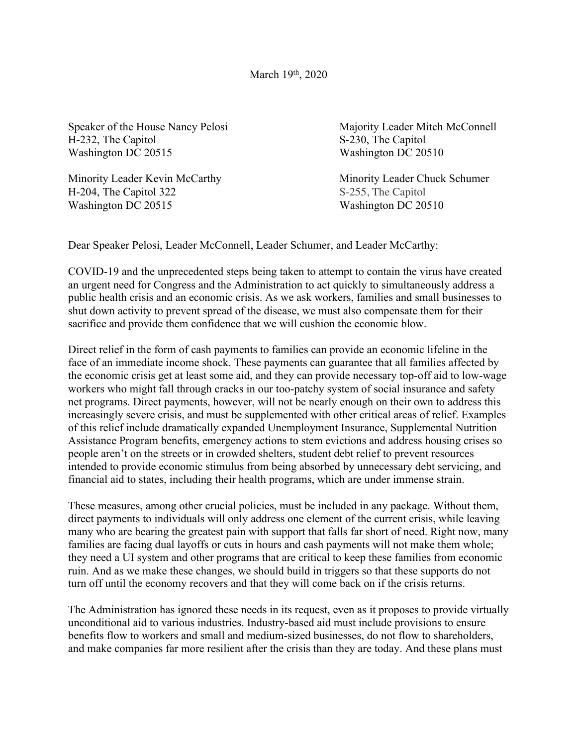Speaker of the House Nancy Pelosi Majority Leader Mitch McConnell H-232, The Capitol S-230, The Capitol Washington DC 20515 Washington DC 20510

Minority Leader Kevin McCarthy Minority Leader Chuck Schumer H-204, The Capitol 322 S-255, The Capitol Washington DC 20515 Washington DC 20510

Dear Speaker Pelosi, Leader McConnell, Leader Schumer, and Leader McCarthy:

COVID-19 and the unprecedented steps being taken to attempt to contain the virus have created an urgent need for Congress and the Administration to act quickly to simultaneously address a public health crisis and an economic crisis. As we ask workers, families and small businesses to shut down activity to prevent spread of the disease, we must also compensate them for their sacrifice and provide them confidence that we will cushion the economic blow.

Direct relief in the form of cash payments to families can provide an economic lifeline in the face of an immediate income shock. These payments can guarantee that all families affected by the economic crisis get at least some aid, and they can provide necessary top-off aid to low-wage workers who might fall through cracks in our too-patchy system of social insurance and safety net programs. Direct payments, however, will not be nearly enough on their own to address this increasingly severe crisis, and must be supplemented with other critical areas of relief. Examples of this relief include dramatically expanded Unemployment Insurance, Supplemental Nutrition Assistance Program benefits, emergency actions to stem evictions and address housing crises so people aren't on the streets or in crowded shelters, student debt relief to prevent resources intended to provide economic stimulus from being absorbed by unnecessary debt servicing, and financial aid to states, including their health programs, which are under immense strain.

These measures, among other crucial policies, must be included in any package. Without them, direct payments to individuals will only address one element of the current crisis, while leaving many who are bearing the greatest pain with support that falls far short of need. Right now, many families are facing dual layoffs or cuts in hours and cash payments will not make them whole; they need a UI system and other programs that are critical to keep these families from economic ruin. And as we make these changes, we should build in triggers so that these supports do not turn off until the economy recovers and that they will come back on if the crisis returns.

The Administration has ignored these needs in its request, even as it proposes to provide virtually unconditional aid to various industries. Industry-based aid must include provisions to ensure benefits flow to workers and small and medium-sized businesses, do not flow to shareholders, and make companies far more resilient after the crisis than they are today. And these plans must